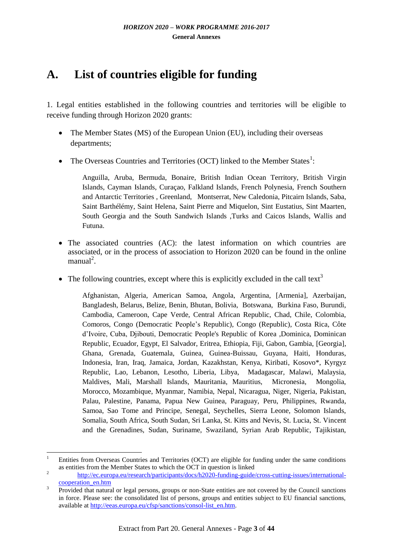## **A. List of countries eligible for funding**

1. Legal entities established in the following countries and territories will be eligible to receive funding through Horizon 2020 grants:

- The Member States (MS) of the European Union (EU), including their overseas departments;
- The Overseas Countries and Territories (OCT) linked to the Member States<sup>1</sup>:

Anguilla, Aruba, Bermuda, Bonaire, British Indian Ocean Territory, British Virgin Islands, Cayman Islands, Curaçao, Falkland Islands, French Polynesia, French Southern and Antarctic Territories , Greenland, Montserrat, New Caledonia, Pitcairn Islands, Saba, Saint Barthélémy, Saint Helena, Saint Pierre and Miquelon, Sint Eustatius, Sint Maarten, South Georgia and the South Sandwich Islands ,Turks and Caicos Islands, Wallis and Futuna.

- The associated countries (AC): the latest information on which countries are associated, or in the process of association to Horizon 2020 can be found in the online  $manual<sup>2</sup>$ .
- The following countries, except where this is explicitly excluded in the call text<sup>3</sup>

Afghanistan, Algeria, American Samoa, Angola, Argentina, [Armenia], Azerbaijan, Bangladesh, Belarus, Belize, Benin, Bhutan, Bolivia, Botswana, Burkina Faso, Burundi, Cambodia, Cameroon, Cape Verde, Central African Republic, Chad, Chile, Colombia, Comoros, Congo (Democratic People's Republic), Congo (Republic), Costa Rica, Côte d'Ivoire, Cuba, Djibouti, Democratic People's Republic of Korea ,Dominica, Dominican Republic, Ecuador, Egypt, El Salvador, Eritrea, Ethiopia, Fiji, Gabon, Gambia, [Georgia], Ghana, Grenada, Guatemala, Guinea, Guinea-Buissau, Guyana, Haiti, Honduras, Indonesia, Iran, Iraq, Jamaica, Jordan, Kazakhstan, Kenya, Kiribati, Kosovo\*, Kyrgyz Republic, Lao, Lebanon, Lesotho, Liberia, Libya, Madagascar, Malawi, Malaysia, Maldives, Mali, Marshall Islands, Mauritania, Mauritius, Micronesia, Mongolia, Morocco, Mozambique, Myanmar, Namibia, Nepal, Nicaragua, Niger, Nigeria, Pakistan, Palau, Palestine, Panama, Papua New Guinea, Paraguay, Peru, Philippines, Rwanda, Samoa, Sao Tome and Principe, Senegal, Seychelles, Sierra Leone, Solomon Islands, Somalia, South Africa, South Sudan, Sri Lanka, St. Kitts and Nevis, St. Lucia, St. Vincent and the Grenadines, Sudan, Suriname, Swaziland, Syrian Arab Republic, Tajikistan,

**<sup>.</sup>** <sup>1</sup> Entities from Overseas Countries and Territories (OCT) are eligible for funding under the same conditions as entities from the Member States to which the OCT in question is linked

<sup>2</sup> [http://ec.europa.eu/research/participants/docs/h2020-funding-guide/cross-cutting-issues/international](http://ec.europa.eu/research/participants/docs/h2020-funding-guide/cross-cutting-issues/international-cooperation_en.htm)[cooperation\\_en.htm](http://ec.europa.eu/research/participants/docs/h2020-funding-guide/cross-cutting-issues/international-cooperation_en.htm)

<sup>3</sup> Provided that natural or legal persons, groups or non-State entities are not covered by the Council sanctions in force. Please see: the consolidated list of persons, groups and entities subject to EU financial sanctions, available at [http://eeas.europa.eu/cfsp/sanctions/consol-list\\_en.htm.](http://eeas.europa.eu/cfsp/sanctions/consol-list_en.htm)